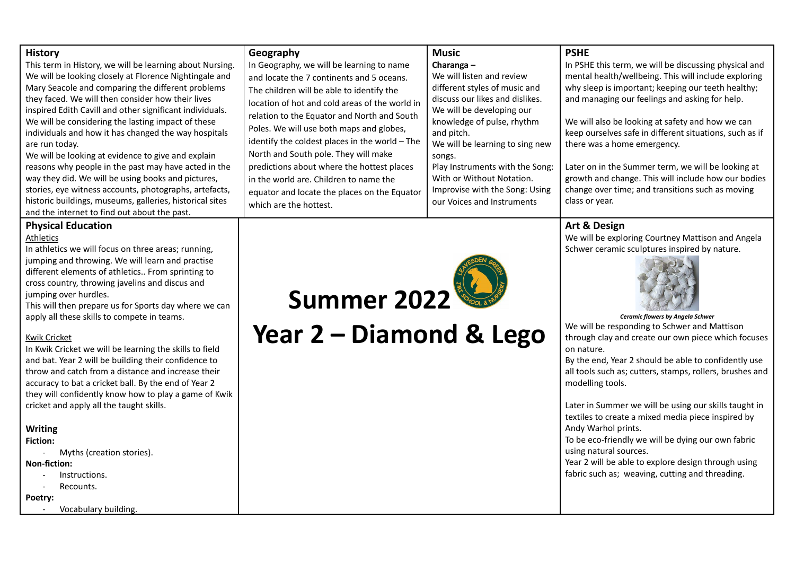| <b>History</b><br>This term in History, we will be learning about Nursing.<br>We will be looking closely at Florence Nightingale and<br>Mary Seacole and comparing the different problems<br>they faced. We will then consider how their lives<br>inspired Edith Cavill and other significant individuals.<br>We will be considering the lasting impact of these<br>individuals and how it has changed the way hospitals<br>are run today.<br>We will be looking at evidence to give and explain<br>reasons why people in the past may have acted in the<br>way they did. We will be using books and pictures,<br>stories, eye witness accounts, photographs, artefacts,<br>historic buildings, museums, galleries, historical sites<br>and the internet to find out about the past.                                                             | Geography<br>In Geography, we will be learning to name<br>and locate the 7 continents and 5 oceans.<br>The children will be able to identify the<br>location of hot and cold areas of the world in<br>relation to the Equator and North and South<br>Poles. We will use both maps and globes,<br>identify the coldest places in the world - The<br>North and South pole. They will make<br>predictions about where the hottest places<br>in the world are. Children to name the<br>equator and locate the places on the Equator<br>which are the hottest. | <b>Music</b><br>Charanga $-$<br>We will listen and review<br>different styles of music and<br>discuss our likes and dislikes.<br>We will be developing our<br>knowledge of pulse, rhythm<br>and pitch.<br>We will be learning to sing new<br>songs.<br>Play Instruments with the Song:<br>With or Without Notation.<br>Improvise with the Song: Using<br>our Voices and Instruments | <b>PSHE</b><br>In PSHE this term, we will be discussing physical and<br>mental health/wellbeing. This will include exploring<br>why sleep is important; keeping our teeth healthy;<br>and managing our feelings and asking for help.<br>We will also be looking at safety and how we can<br>keep ourselves safe in different situations, such as if<br>there was a home emergency.<br>Later on in the Summer term, we will be looking at<br>growth and change. This will include how our bodies<br>change over time; and transitions such as moving<br>class or year.                                                                                                                            |
|--------------------------------------------------------------------------------------------------------------------------------------------------------------------------------------------------------------------------------------------------------------------------------------------------------------------------------------------------------------------------------------------------------------------------------------------------------------------------------------------------------------------------------------------------------------------------------------------------------------------------------------------------------------------------------------------------------------------------------------------------------------------------------------------------------------------------------------------------|-----------------------------------------------------------------------------------------------------------------------------------------------------------------------------------------------------------------------------------------------------------------------------------------------------------------------------------------------------------------------------------------------------------------------------------------------------------------------------------------------------------------------------------------------------------|-------------------------------------------------------------------------------------------------------------------------------------------------------------------------------------------------------------------------------------------------------------------------------------------------------------------------------------------------------------------------------------|--------------------------------------------------------------------------------------------------------------------------------------------------------------------------------------------------------------------------------------------------------------------------------------------------------------------------------------------------------------------------------------------------------------------------------------------------------------------------------------------------------------------------------------------------------------------------------------------------------------------------------------------------------------------------------------------------|
| <b>Physical Education</b><br>Athletics<br>In athletics we will focus on three areas; running,<br>jumping and throwing. We will learn and practise<br>different elements of athletics From sprinting to<br>cross country, throwing javelins and discus and<br>jumping over hurdles.<br>This will then prepare us for Sports day where we can<br>apply all these skills to compete in teams.<br><b>Kwik Cricket</b><br>In Kwik Cricket we will be learning the skills to field<br>and bat. Year 2 will be building their confidence to<br>throw and catch from a distance and increase their<br>accuracy to bat a cricket ball. By the end of Year 2<br>they will confidently know how to play a game of Kwik<br>cricket and apply all the taught skills.<br><b>Writing</b><br><b>Fiction:</b><br>Myths (creation stories).<br><b>Non-fiction:</b> | <b>Summer 2022</b><br>Year 2 - Diamond & Lego                                                                                                                                                                                                                                                                                                                                                                                                                                                                                                             |                                                                                                                                                                                                                                                                                                                                                                                     | Art & Design<br>We will be exploring Courtney Mattison and Angela<br>Schwer ceramic sculptures inspired by nature.<br>Ceramic flowers by Angela Schwer<br>We will be responding to Schwer and Mattison<br>through clay and create our own piece which focuses<br>on nature.<br>By the end, Year 2 should be able to confidently use<br>all tools such as; cutters, stamps, rollers, brushes and<br>modelling tools.<br>Later in Summer we will be using our skills taught in<br>textiles to create a mixed media piece inspired by<br>Andy Warhol prints.<br>To be eco-friendly we will be dying our own fabric<br>using natural sources.<br>Year 2 will be able to explore design through using |

- Instructions.
- Recounts.

**Poetry:**

- Vocabulary building.

fabric such as; weaving, cutting and threading.